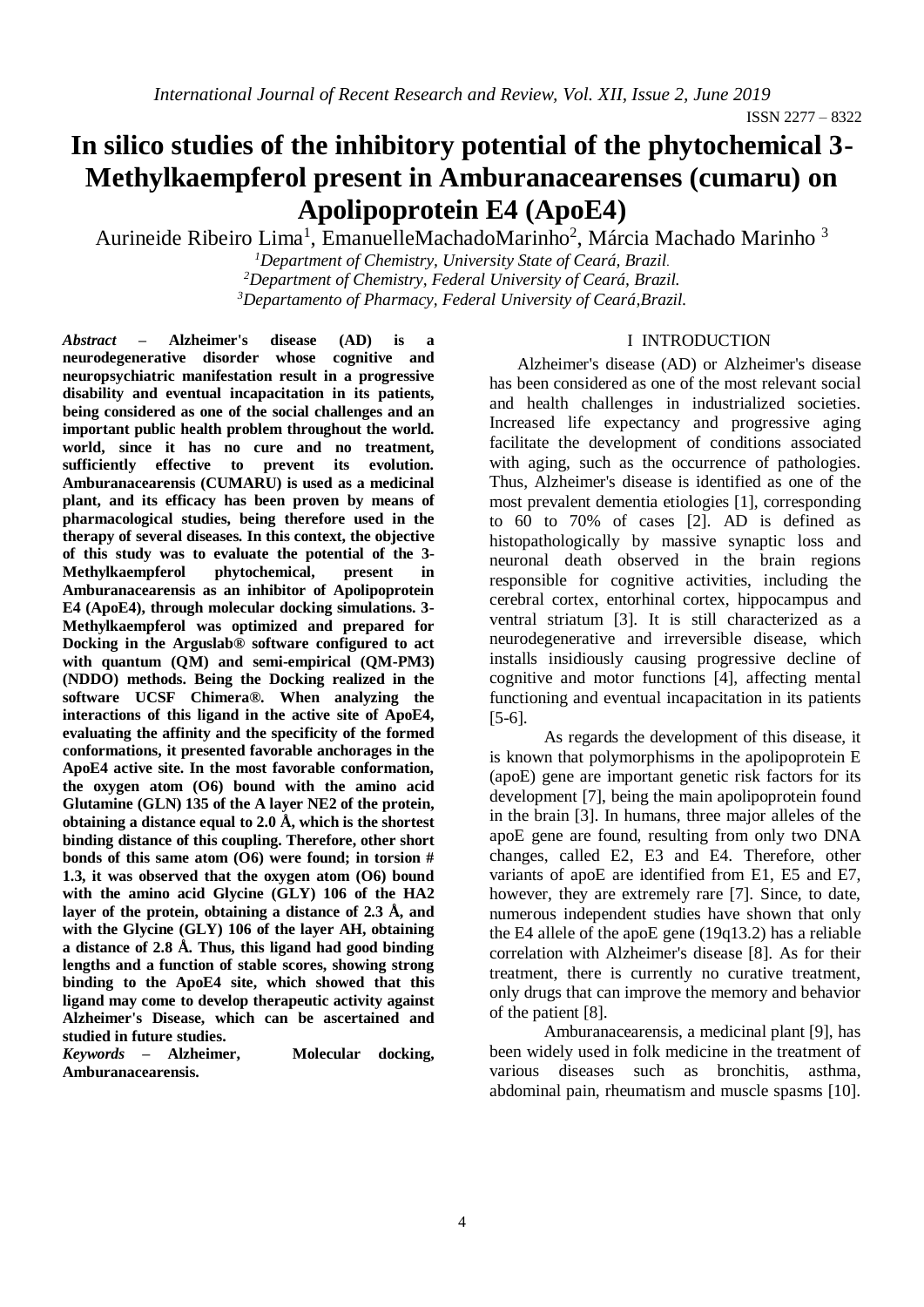# **In silico studies of the inhibitory potential of the phytochemical 3- Methylkaempferol present in Amburanacearenses (cumaru) on Apolipoprotein E4 (ApoE4)**

Aurineide Ribeiro Lima<sup>1</sup>, EmanuelleMachadoMarinho<sup>2</sup>, Márcia Machado Marinho<sup>3</sup>

*<sup>1</sup>Department of Chemistry, University State of Ceará, Brazil. <sup>2</sup>Department of Chemistry, Federal University of Ceará, Brazil. <sup>3</sup>Departamento of Pharmacy, Federal University of Ceará,Brazil.*

*Abstract –* **Alzheimer's disease (AD) is a neurodegenerative disorder whose cognitive and neuropsychiatric manifestation result in a progressive disability and eventual incapacitation in its patients, being considered as one of the social challenges and an important public health problem throughout the world. world, since it has no cure and no treatment, sufficiently effective to prevent its evolution. Amburanacearensis (CUMARU) is used as a medicinal plant, and its efficacy has been proven by means of pharmacological studies, being therefore used in the therapy of several diseases. In this context, the objective of this study was to evaluate the potential of the 3- Methylkaempferol phytochemical, present in Amburanacearensis as an inhibitor of Apolipoprotein E4 (ApoE4), through molecular docking simulations. 3- Methylkaempferol was optimized and prepared for Docking in the Arguslab® software configured to act with quantum (QM) and semi-empirical (QM-PM3) (NDDO) methods. Being the Docking realized in the software UCSF Chimera®. When analyzing the interactions of this ligand in the active site of ApoE4, evaluating the affinity and the specificity of the formed conformations, it presented favorable anchorages in the ApoE4 active site. In the most favorable conformation, the oxygen atom (O6) bound with the amino acid Glutamine (GLN) 135 of the A layer NE2 of the protein, obtaining a distance equal to 2.0 Å, which is the shortest binding distance of this coupling. Therefore, other short bonds of this same atom (O6) were found; in torsion # 1.3, it was observed that the oxygen atom (O6) bound with the amino acid Glycine (GLY) 106 of the HA2 layer of the protein, obtaining a distance of 2.3 Å, and with the Glycine (GLY) 106 of the layer AH, obtaining a distance of 2.8 Å. Thus, this ligand had good binding lengths and a function of stable scores, showing strong binding to the ApoE4 site, which showed that this ligand may come to develop therapeutic activity against Alzheimer's Disease, which can be ascertained and studied in future studies.**

*Keywords –* **Alzheimer, Molecular docking, Amburanacearensis.**

## I INTRODUCTION

Alzheimer's disease (AD) or Alzheimer's disease has been considered as one of the most relevant social and health challenges in industrialized societies. Increased life expectancy and progressive aging facilitate the development of conditions associated with aging, such as the occurrence of pathologies. Thus, Alzheimer's disease is identified as one of the most prevalent dementia etiologies [1], corresponding to 60 to 70% of cases [2]. AD is defined as histopathologically by massive synaptic loss and neuronal death observed in the brain regions responsible for cognitive activities, including the cerebral cortex, entorhinal cortex, hippocampus and ventral striatum [3]. It is still characterized as a neurodegenerative and irreversible disease, which installs insidiously causing progressive decline of cognitive and motor functions [4], affecting mental functioning and eventual incapacitation in its patients [5-6].

As regards the development of this disease, it is known that polymorphisms in the apolipoprotein E (apoE) gene are important genetic risk factors for its development [7], being the main apolipoprotein found in the brain [3]. In humans, three major alleles of the apoE gene are found, resulting from only two DNA changes, called E2, E3 and E4. Therefore, other variants of apoE are identified from E1, E5 and E7, however, they are extremely rare [7]. Since, to date, numerous independent studies have shown that only the E4 allele of the apoE gene (19q13.2) has a reliable correlation with Alzheimer's disease [8]. As for their treatment, there is currently no curative treatment, only drugs that can improve the memory and behavior of the patient [8].

Amburanacearensis, a medicinal plant [9], has been widely used in folk medicine in the treatment of various diseases such as bronchitis, asthma, abdominal pain, rheumatism and muscle spasms [10].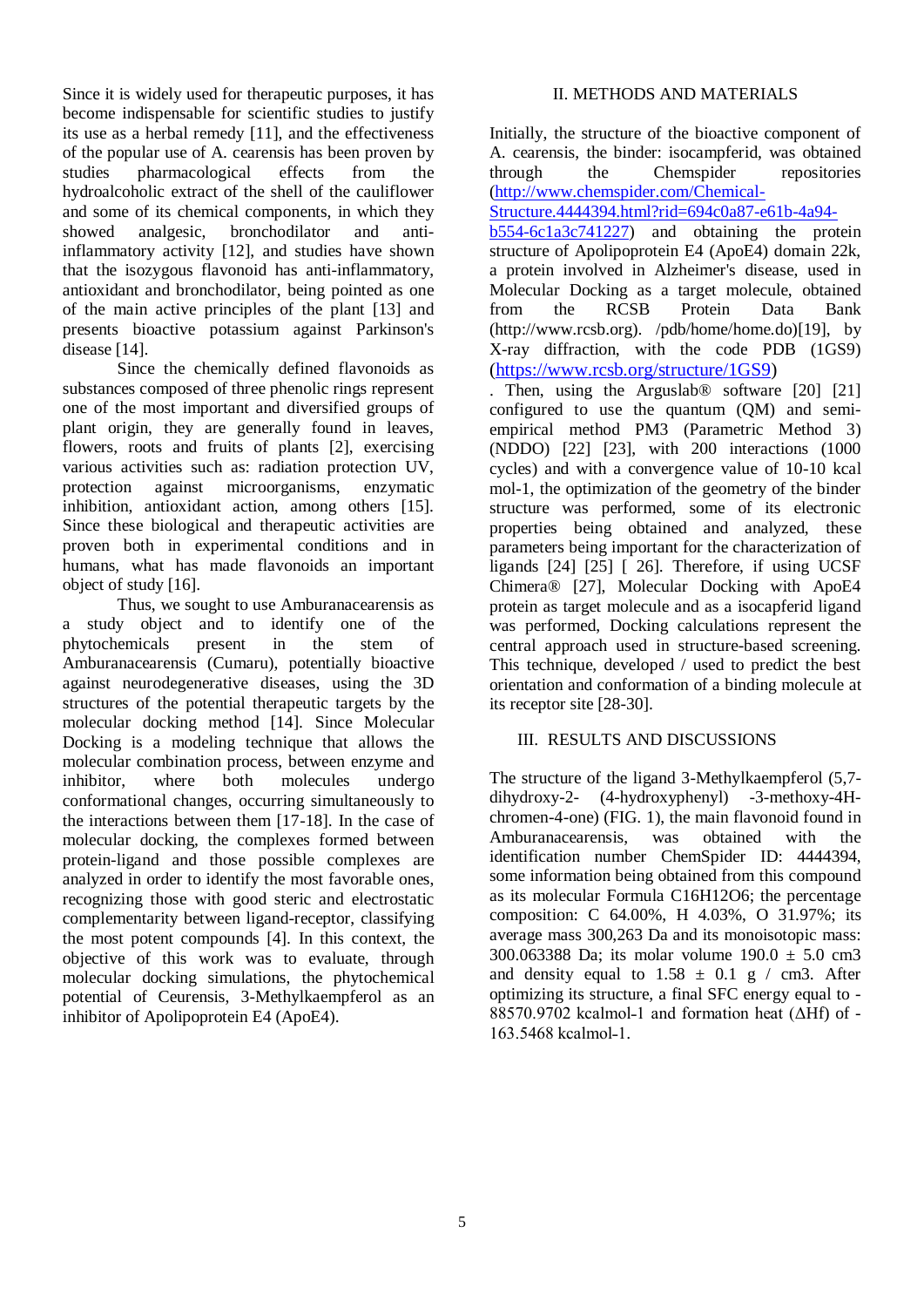Since it is widely used for therapeutic purposes, it has become indispensable for scientific studies to justify its use as a herbal remedy [11], and the effectiveness of the popular use of A. cearensis has been proven by studies pharmacological effects from the hydroalcoholic extract of the shell of the cauliflower and some of its chemical components, in which they showed analgesic, bronchodilator and antiinflammatory activity [12], and studies have shown that the isozygous flavonoid has anti-inflammatory, antioxidant and bronchodilator, being pointed as one of the main active principles of the plant [13] and presents bioactive potassium against Parkinson's disease [14].

Since the chemically defined flavonoids as substances composed of three phenolic rings represent one of the most important and diversified groups of plant origin, they are generally found in leaves, flowers, roots and fruits of plants [2], exercising various activities such as: radiation protection UV, protection against microorganisms, enzymatic inhibition, antioxidant action, among others [15]. Since these biological and therapeutic activities are proven both in experimental conditions and in humans, what has made flavonoids an important object of study [16].

Thus, we sought to use Amburanacearensis as a study object and to identify one of the phytochemicals present in the stem of Amburanacearensis (Cumaru), potentially bioactive against neurodegenerative diseases, using the 3D structures of the potential therapeutic targets by the molecular docking method [14]. Since Molecular Docking is a modeling technique that allows the molecular combination process, between enzyme and inhibitor, where both molecules undergo conformational changes, occurring simultaneously to the interactions between them [17-18]. In the case of molecular docking, the complexes formed between protein-ligand and those possible complexes are analyzed in order to identify the most favorable ones, recognizing those with good steric and electrostatic complementarity between ligand-receptor, classifying the most potent compounds [4]. In this context, the objective of this work was to evaluate, through molecular docking simulations, the phytochemical potential of Ceurensis, 3-Methylkaempferol as an inhibitor of Apolipoprotein E4 (ApoE4).

# II. METHODS AND MATERIALS

Initially, the structure of the bioactive component of A. cearensis, the binder: isocampferid, was obtained through the Chemspider repositories [\(http://www.chemspider.com/Chemical-](http://www.chemspider.com/Chemical-Structure.4444394.html?rid=694c0a87-e61b-4a94-b554-6c1a3c741227)

[Structure.4444394.html?rid=694c0a87-e61b-4a94-](http://www.chemspider.com/Chemical-Structure.4444394.html?rid=694c0a87-e61b-4a94-b554-6c1a3c741227)

[b554-6c1a3c741227\)](http://www.chemspider.com/Chemical-Structure.4444394.html?rid=694c0a87-e61b-4a94-b554-6c1a3c741227) and obtaining the protein structure of Apolipoprotein E4 (ApoE4) domain 22k, a protein involved in Alzheimer's disease, used in Molecular Docking as a target molecule, obtained from the RCSB Protein Data Bank (http://www.rcsb.org). /pdb/home/home.do)[19], by X-ray diffraction, with the code PDB (1GS9) [\(https://www.rcsb.org/structure/1GS9\)](https://www.rcsb.org/structure/1GS9)

. Then, using the Arguslab® software [20] [21] configured to use the quantum (QM) and semiempirical method PM3 (Parametric Method 3) (NDDO) [22] [23], with 200 interactions (1000 cycles) and with a convergence value of 10-10 kcal mol-1, the optimization of the geometry of the binder structure was performed, some of its electronic properties being obtained and analyzed, these parameters being important for the characterization of ligands [24] [25] [ 26]. Therefore, if using UCSF Chimera® [27], Molecular Docking with ApoE4 protein as target molecule and as a isocapferid ligand was performed, Docking calculations represent the central approach used in structure-based screening. This technique, developed / used to predict the best orientation and conformation of a binding molecule at its receptor site [28-30].

# III. RESULTS AND DISCUSSIONS

The structure of the ligand 3-Methylkaempferol (5,7 dihydroxy-2- (4-hydroxyphenyl) -3-methoxy-4Hchromen-4-one) (FIG. 1), the main flavonoid found in Amburanacearensis, was obtained with the identification number ChemSpider ID: 4444394, some information being obtained from this compound as its molecular Formula C16H12O6; the percentage composition: C 64.00%, H 4.03%, O 31.97%; its average mass 300,263 Da and its monoisotopic mass: 300.063388 Da; its molar volume  $190.0 \pm 5.0 \text{ cm}^2$ and density equal to  $1.58 \pm 0.1$  g / cm3. After optimizing its structure, a final SFC energy equal to -  $88570.9702$  kcalmol-1 and formation heat ( $\triangle Hf$ ) of -163.5468 kcalmol˗1.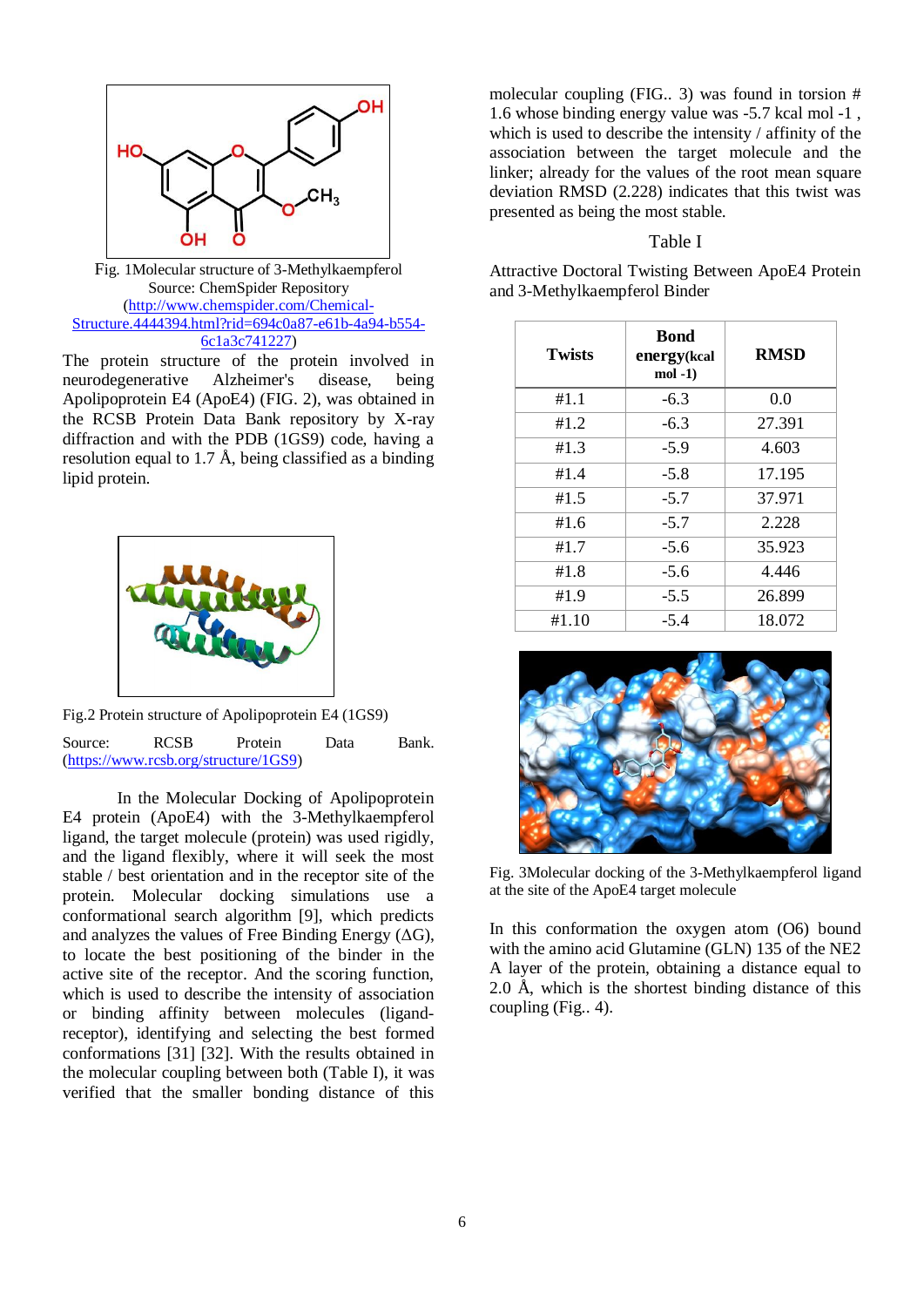

Fig. 1Molecular structure of 3-Methylkaempferol Source: ChemSpider Repository [\(http://www.chemspider.com/Chemical-](http://www.chemspider.com/Chemical-Structure.4444394.html?rid=694c0a87-e61b-4a94-b554-6c1a3c741227)[Structure.4444394.html?rid=694c0a87-e61b-4a94-b554-](http://www.chemspider.com/Chemical-Structure.4444394.html?rid=694c0a87-e61b-4a94-b554-6c1a3c741227) [6c1a3c741227\)](http://www.chemspider.com/Chemical-Structure.4444394.html?rid=694c0a87-e61b-4a94-b554-6c1a3c741227)

The protein structure of the protein involved in neurodegenerative Alzheimer's disease, being Apolipoprotein E4 (ApoE4) (FIG. 2), was obtained in the RCSB Protein Data Bank repository by X-ray diffraction and with the PDB (1GS9) code, having a resolution equal to 1.7 Å, being classified as a binding lipid protein.



Fig.2 Protein structure of Apolipoprotein E4 (1GS9) Source: RCSB Protein Data Bank. [\(https://www.rcsb.org/structure/1GS9\)](https://www.rcsb.org/structure/1GS9)

In the Molecular Docking of Apolipoprotein E4 protein (ApoE4) with the 3-Methylkaempferol ligand, the target molecule (protein) was used rigidly, and the ligand flexibly, where it will seek the most stable / best orientation and in the receptor site of the protein. Molecular docking simulations use a conformational search algorithm [9], which predicts and analyzes the values of Free Binding Energy  $( \Delta G )$ , to locate the best positioning of the binder in the active site of the receptor. And the scoring function, which is used to describe the intensity of association or binding affinity between molecules (ligandreceptor), identifying and selecting the best formed conformations [31] [32]. With the results obtained in the molecular coupling between both (Table I), it was verified that the smaller bonding distance of this

molecular coupling (FIG.. 3) was found in torsion # 1.6 whose binding energy value was -5.7 kcal mol -1 , which is used to describe the intensity / affinity of the association between the target molecule and the linker; already for the values of the root mean square deviation RMSD (2.228) indicates that this twist was presented as being the most stable.

#### Table I

Attractive Doctoral Twisting Between ApoE4 Protein and 3-Methylkaempferol Binder

| <b>Twists</b> | <b>Bond</b><br>energy(kcal<br>$mol -1)$ | <b>RMSD</b> |
|---------------|-----------------------------------------|-------------|
| #1.1          | $-6.3$                                  | 0.0         |
| #1.2          | $-6.3$                                  | 27.391      |
| #1.3          | $-5.9$                                  | 4.603       |
| #1.4          | $-5.8$                                  | 17.195      |
| #1.5          | $-5.7$                                  | 37.971      |
| #1.6          | $-5.7$                                  | 2.228       |
| #1.7          | $-5.6$                                  | 35.923      |
| #1.8          | $-5.6$                                  | 4.446       |
| #1.9          | $-5.5$                                  | 26.899      |
| #1.10         | $-5.4$                                  | 18.072      |



Fig. 3Molecular docking of the 3-Methylkaempferol ligand at the site of the ApoE4 target molecule

In this conformation the oxygen atom (O6) bound with the amino acid Glutamine (GLN) 135 of the NE2 A layer of the protein, obtaining a distance equal to 2.0 Å, which is the shortest binding distance of this coupling (Fig.. 4).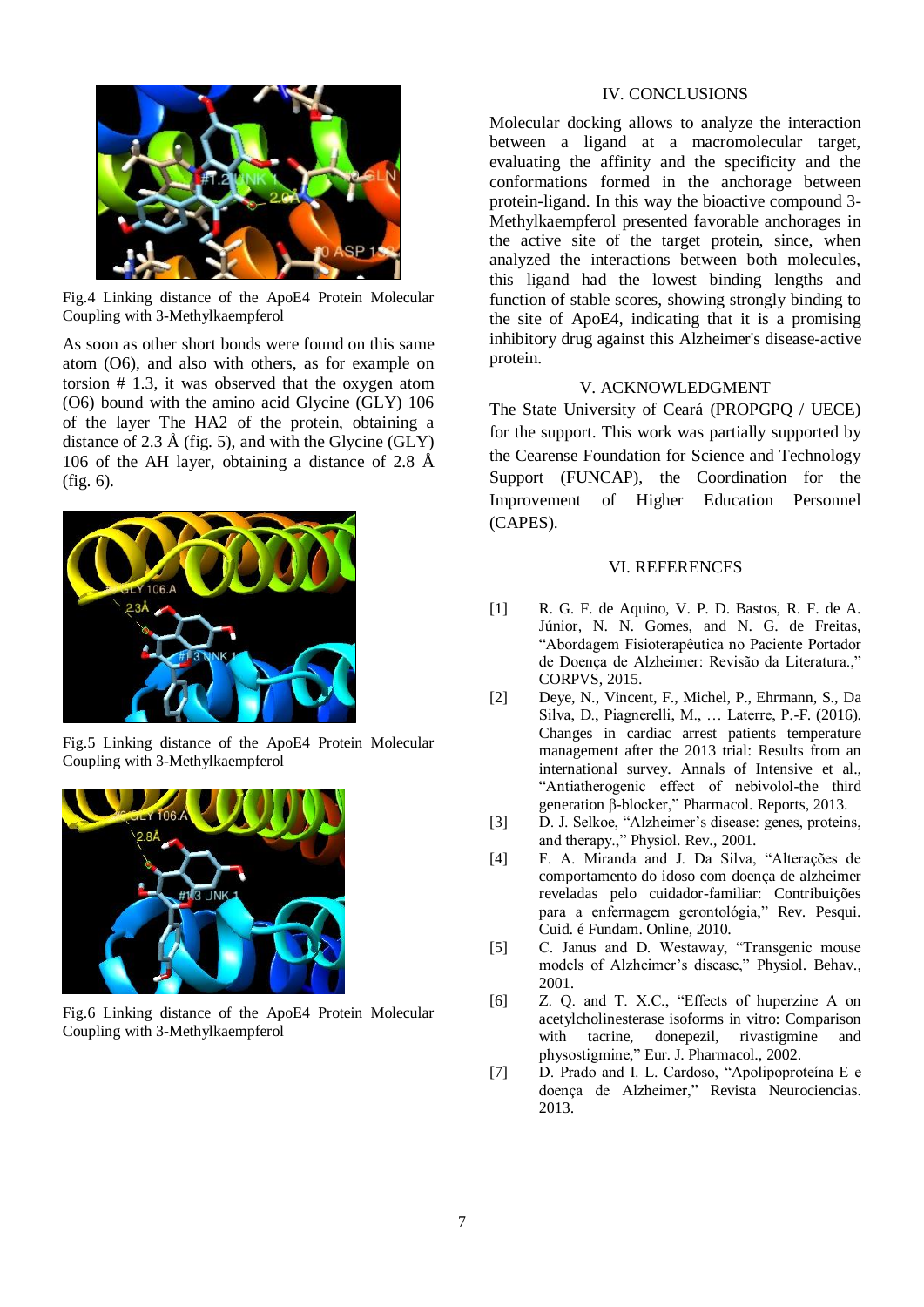

Fig.4 Linking distance of the ApoE4 Protein Molecular Coupling with 3-Methylkaempferol

As soon as other short bonds were found on this same atom (O6), and also with others, as for example on torsion # 1.3, it was observed that the oxygen atom (O6) bound with the amino acid Glycine (GLY) 106 of the layer The HA2 of the protein, obtaining a distance of 2.3 Å (fig. 5), and with the Glycine (GLY) 106 of the AH layer, obtaining a distance of 2.8  $\AA$ (fig. 6).



Fig.5 Linking distance of the ApoE4 Protein Molecular Coupling with 3-Methylkaempferol



Fig.6 Linking distance of the ApoE4 Protein Molecular Coupling with 3-Methylkaempferol

## IV. CONCLUSIONS

Molecular docking allows to analyze the interaction between a ligand at a macromolecular target, evaluating the affinity and the specificity and the conformations formed in the anchorage between protein-ligand. In this way the bioactive compound 3- Methylkaempferol presented favorable anchorages in the active site of the target protein, since, when analyzed the interactions between both molecules, this ligand had the lowest binding lengths and function of stable scores, showing strongly binding to the site of ApoE4, indicating that it is a promising inhibitory drug against this Alzheimer's disease-active protein.

## V. ACKNOWLEDGMENT

The State University of Ceará (PROPGPQ / UECE) for the support. This work was partially supported by the Cearense Foundation for Science and Technology Support (FUNCAP), the Coordination for the Improvement of Higher Education Personnel (CAPES).

#### VI. REFERENCES

- [1] R. G. F. de Aquino, V. P. D. Bastos, R. F. de A. Júnior, N. N. Gomes, and N. G. de Freitas, "Abordagem Fisioterapêutica no Paciente Portador de Doença de Alzheimer: Revisão da Literatura.," CORPVS, 2015.
- [2] Deye, N., Vincent, F., Michel, P., Ehrmann, S., Da Silva, D., Piagnerelli, M., … Laterre, P.-F. (2016). Changes in cardiac arrest patients temperature management after the 2013 trial: Results from an international survey. Annals of Intensive et al., "Antiatherogenic effect of nebivolol-the third generation β-blocker," Pharmacol. Reports, 2013.
- [3] D. J. Selkoe, "Alzheimer's disease: genes, proteins, and therapy.," Physiol. Rev., 2001.
- [4] F. A. Miranda and J. Da Silva, "Alterações de comportamento do idoso com doença de alzheimer reveladas pelo cuidador-familiar: Contribuições para a enfermagem gerontológia," Rev. Pesqui. Cuid. é Fundam. Online, 2010.
- [5] C. Janus and D. Westaway, "Transgenic mouse models of Alzheimer's disease," Physiol. Behav., 2001.
- [6] Z. Q. and T. X.C., "Effects of huperzine A on acetylcholinesterase isoforms in vitro: Comparison with tacrine, donepezil, rivastigmine and physostigmine," Eur. J. Pharmacol., 2002.
- [7] D. Prado and I. L. Cardoso, "Apolipoproteína E e doença de Alzheimer," Revista Neurociencias. 2013.